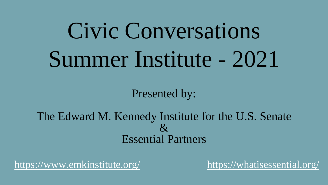# Civic Conversations Summer Institute - 2021

Presented by:

The Edward M. Kennedy Institute for the U.S. Senate & Essential Partners

<https://www.emkinstitute.org/> <https://whatisessential.org/>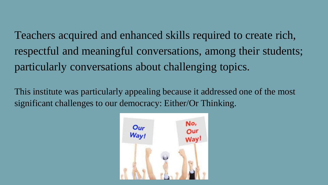Teachers acquired and enhanced skills required to create rich, respectful and meaningful conversations, among their students; particularly conversations about challenging topics.

This institute was particularly appealing because it addressed one of the most significant challenges to our democracy: Either/Or Thinking.

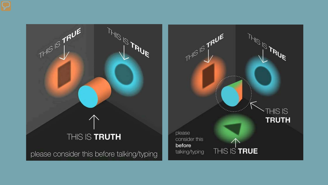

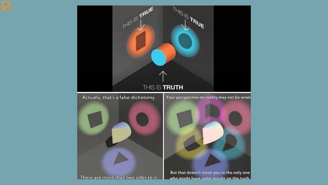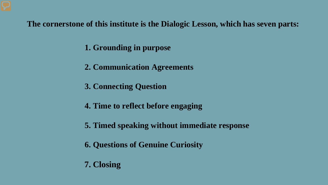**The cornerstone of this institute is the Dialogic Lesson, which has seven parts:**

**1. Grounding in purpose**

**2. Communication Agreements**

**3. Connecting Question**

**4. Time to reflect before engaging**

**5. Timed speaking without immediate response**

**6. Questions of Genuine Curiosity**

**7. Closing**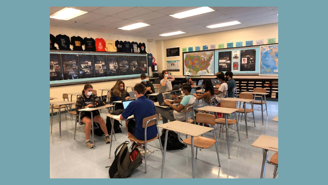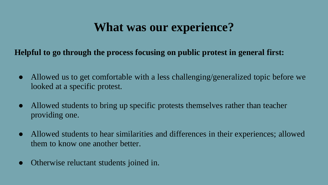## **What was our experience?**

**Helpful to go through the process focusing on public protest in general first:** 

- Allowed us to get comfortable with a less challenging/generalized topic before we looked at a specific protest.
- Allowed students to bring up specific protests themselves rather than teacher providing one.
- Allowed students to hear similarities and differences in their experiences; allowed them to know one another better.
- Otherwise reluctant students joined in.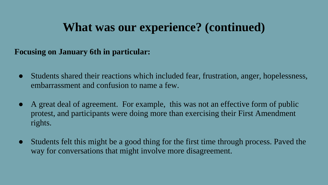## **What was our experience? (continued)**

#### **Focusing on January 6th in particular:**

- Students shared their reactions which included fear, frustration, anger, hopelessness, embarrassment and confusion to name a few.
- A great deal of agreement. For example, this was not an effective form of public protest, and participants were doing more than exercising their First Amendment rights.
- Students felt this might be a good thing for the first time through process. Paved the way for conversations that might involve more disagreement.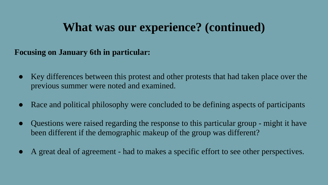## **What was our experience? (continued)**

#### **Focusing on January 6th in particular:**

- Key differences between this protest and other protests that had taken place over the previous summer were noted and examined.
- Race and political philosophy were concluded to be defining aspects of participants
- Questions were raised regarding the response to this particular group might it have been different if the demographic makeup of the group was different?
- A great deal of agreement had to makes a specific effort to see other perspectives.